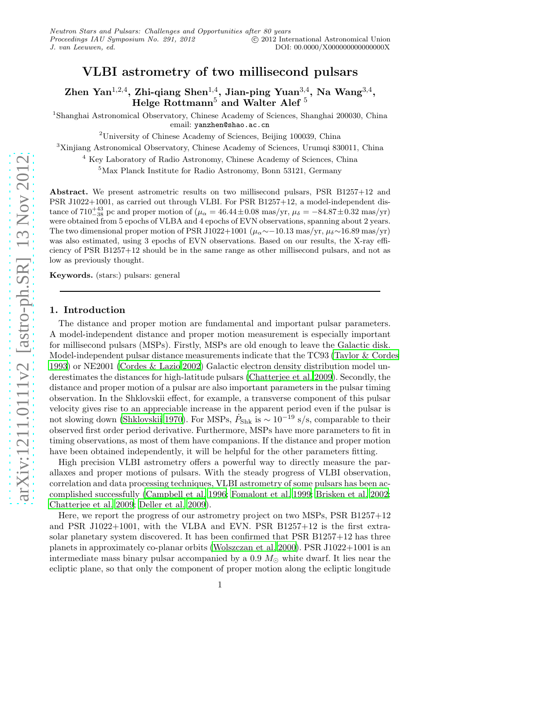# VLBI astrometry of two millisecond pulsars

Zhen Yan $^{1,2,4}$ , Zhi-qiang Shen $^{1,4}$ , Jian-ping Yuan $^{3,4}$ , Na Wang $^{3,4}$ , Helge Rottmann $^5$  and Walter Alef  $^5$ 

<sup>1</sup>Shanghai Astronomical Observatory, Chinese Academy of Sciences, Shanghai 200030, China email: yanzhen@shao.ac.cn

<sup>2</sup>University of Chinese Academy of Sciences, Beijing 100039, China

<sup>3</sup>Xinjiang Astronomical Observatory, Chinese Academy of Sciences, Urumqi 830011, China

<sup>4</sup> Key Laboratory of Radio Astronomy, Chinese Academy of Sciences, China

<sup>5</sup>Max Planck Institute for Radio Astronomy, Bonn 53121, Germany

Abstract. We present astrometric results on two millisecond pulsars, PSR B1257+12 and PSR J1022+1001, as carried out through VLBI. For PSR B1257+12, a model-independent distance of  $710^{+43}_{-38}$  pc and proper motion of  $(\mu_\alpha = 46.44 \pm 0.08 \text{ mas/yr}, \mu_\delta = -84.87 \pm 0.32 \text{ mas/yr})$ were obtained from 5 epochs of VLBA and 4 epochs of EVN observations, spanning about 2 years. The two dimensional proper motion of PSR J1022+1001 ( $\mu_{\alpha} \sim 10.13$  mas/yr,  $\mu_{\delta} \sim 16.89$  mas/yr) was also estimated, using 3 epochs of EVN observations. Based on our results, the X-ray efficiency of PSR B1257+12 should be in the same range as other millisecond pulsars, and not as low as previously thought.

Keywords. (stars:) pulsars: general

# 1. Introduction

The distance and proper motion are fundamental and important pulsar parameters. A model-independent distance and proper motion measurement is especially important for millisecond pulsars (MSPs). Firstly, MSPs are old enough to leave the Galactic disk. Model-independent pulsar distance measurements indicate that the TC93 [\(Taylor & Cordes](#page-2-0) [1993\)](#page-2-0) or NE2001 [\(Cordes & Lazio 2002\)](#page-2-1) Galactic electron density distribution model underestimates the distances for high-latitude pulsars [\(Chatterjee et al. 2009\)](#page-2-2). Secondly, the distance and proper motion of a pulsar are also important parameters in the pulsar timing observation. In the Shklovskii effect, for example, a transverse component of this pulsar velocity gives rise to an appreciable increase in the apparent period even if the pulsar is not slowing down [\(Shklovskii 1970\)](#page-2-3). For MSPs,  $\dot{P}_{Shk}$  is  $\sim 10^{-19}$  s/s, comparable to their observed first order period derivative. Furthermore, MSPs have more parameters to fit in timing observations, as most of them have companions. If the distance and proper motion have been obtained independently, it will be helpful for the other parameters fitting.

High precision VLBI astrometry offers a powerful way to directly measure the parallaxes and proper motions of pulsars. With the steady progress of VLBI observation, correlation and data processing techniques, VLBI astrometry of some pulsars has been accomplished successfully [\(Campbell et al. 1996;](#page-2-4) [Fomalont et al. 1999;](#page-2-5) [Brisken et al. 2002;](#page-2-6) [Chatterjee et al. 2009](#page-2-2); [Deller et al. 2009\)](#page-2-7).

Here, we report the progress of our astrometry project on two MSPs, PSR B1257+12 and PSR J1022+1001, with the VLBA and EVN. PSR B1257+12 is the first extrasolar planetary system discovered. It has been confirmed that PSR B1257+12 has three planets in approximately co-planar orbits [\(Wolszczan et al. 2000\)](#page-2-8). PSR J1022+1001 is an intermediate mass binary pulsar accompanied by a  $0.9 M_{\odot}$  white dwarf. It lies near the ecliptic plane, so that only the component of proper motion along the ecliptic longitude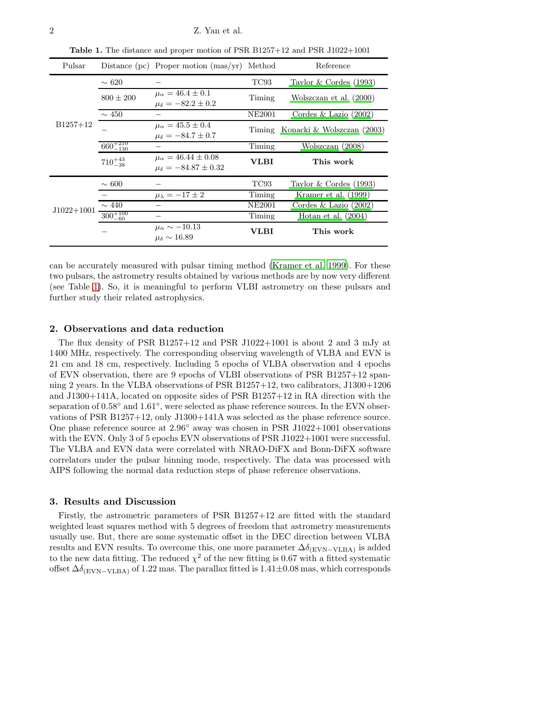| Pulsar       |                     | Distance (pc) Proper motion $(mas/yr)$                              | Method        | Reference                         |
|--------------|---------------------|---------------------------------------------------------------------|---------------|-----------------------------------|
| $B1257+12$   | $\sim 620$          |                                                                     | TC93          | Taylor $&$ Cordes (1993)          |
|              | $800 \pm 200$       | $\mu_{\alpha} = 46.4 \pm 0.1$<br>$\mu_{\delta} = -82.2 \pm 0.2$     | Timing        | Wolszczan et al. (2000)           |
|              | $\sim 450$          |                                                                     | NE2001        | Cordes & Lazio $(2002)$           |
|              |                     | $\mu_{\alpha} = 45.5 \pm 0.4$<br>$\mu_{\delta} = -84.7 \pm 0.7$     |               | Timing Konacki & Wolszczan (2003) |
|              | $660^{+210}_{-130}$ |                                                                     | Timing        | Wolszczan (2008)                  |
|              | $710^{+43}_{-38}$   | $\mu_{\alpha} = 46.44 \pm 0.08$<br>$\mu_{\delta} = -84.87 \pm 0.32$ | VLBI          | This work                         |
| $J1022+1001$ | $\sim 600$          |                                                                     | TC93          | Taylor $&$ Cordes (1993)          |
|              |                     | $\mu_{\lambda} = -17 \pm 2$                                         | Timing        | Kramer et al. (1999)              |
|              | $\sim 440$          |                                                                     | <b>NE2001</b> | Cordes & Lazio $(2002)$           |
|              | $300^{+100}_{-60}$  |                                                                     | Timing        | Hotan et al. $(2004)$             |
|              |                     | $\mu_{\alpha} \sim -10.13$<br>$\mu_{\delta} \sim 16.89$             | VLBI          | This work                         |

<span id="page-1-0"></span>Table 1. The distance and proper motion of PSR B1257+12 and PSR J1022+1001

can be accurately measured with pulsar timing method [\(Kramer et al.](#page-2-11) [1999\)](#page-2-11). For these two pulsars, the astrometry results obtained by various methods are by now very different (see Table [1\)](#page-1-0). So, it is meaningful to perform VLBI astrometry on these pulsars and further study their related astrophysics.

# 2. Observations and data reduction

The flux density of PSR B1257+12 and PSR J1022+1001 is about 2 and 3 mJy at 1400 MHz, respectively. The corresponding observing wavelength of VLBA and EVN is 21 cm and 18 cm, respectively. Including 5 epochs of VLBA observation and 4 epochs of EVN observation, there are 9 epochs of VLBI observations of PSR B1257+12 spanning 2 years. In the VLBA observations of PSR B1257+12, two calibrators, J1300+1206 and J1300+141A, located on opposite sides of PSR B1257+12 in RA direction with the separation of  $0.58°$  and  $1.61°$ , were selected as phase reference sources. In the EVN observations of PSR B1257+12, only J1300+141A was selected as the phase reference source. One phase reference source at  $2.96°$  away was chosen in PSR J1022+1001 observations with the EVN. Only 3 of 5 epochs EVN observations of PSR J1022+1001 were successful. The VLBA and EVN data were correlated with NRAO-DiFX and Bonn-DiFX software correlators under the pulsar binning mode, respectively. The data was processed with AIPS following the normal data reduction steps of phase reference observations.

#### 3. Results and Discussion

Firstly, the astrometric parameters of PSR B1257+12 are fitted with the standard weighted least squares method with 5 degrees of freedom that astrometry measurements usually use. But, there are some systematic offset in the DEC direction between VLBA results and EVN results. To overcome this, one more parameter  $\Delta\delta_{\rm (EVN-VLBA)}$  is added to the new data fitting. The reduced  $\chi^2$  of the new fitting is 0.67 with a fitted systematic offset  $\Delta\delta_{\rm (EVN-VLBA)}$  of 1.22 mas. The parallax fitted is 1.41±0.08 mas, which corresponds